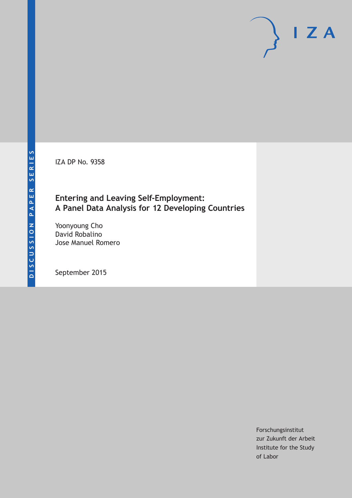IZA DP No. 9358

## **Entering and Leaving Self-Employment: A Panel Data Analysis for 12 Developing Countries**

Yoonyoung Cho David Robalino Jose Manuel Romero

September 2015

Forschungsinstitut zur Zukunft der Arbeit Institute for the Study of Labor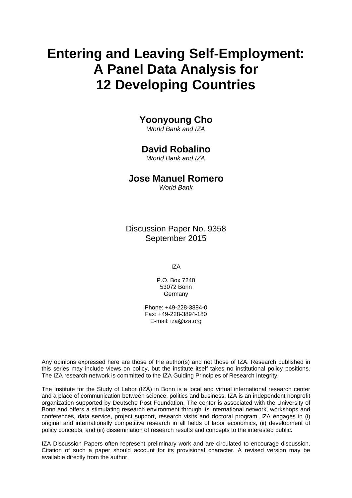# **Entering and Leaving Self-Employment: A Panel Data Analysis for 12 Developing Countries**

## **Yoonyoung Cho**

*World Bank and IZA* 

## **David Robalino**

*World Bank and IZA* 

## **Jose Manuel Romero**

*World Bank*

Discussion Paper No. 9358 September 2015

IZA

P.O. Box 7240 53072 Bonn **Germany** 

Phone: +49-228-3894-0 Fax: +49-228-3894-180 E-mail: iza@iza.org

Any opinions expressed here are those of the author(s) and not those of IZA. Research published in this series may include views on policy, but the institute itself takes no institutional policy positions. The IZA research network is committed to the IZA Guiding Principles of Research Integrity.

The Institute for the Study of Labor (IZA) in Bonn is a local and virtual international research center and a place of communication between science, politics and business. IZA is an independent nonprofit organization supported by Deutsche Post Foundation. The center is associated with the University of Bonn and offers a stimulating research environment through its international network, workshops and conferences, data service, project support, research visits and doctoral program. IZA engages in (i) original and internationally competitive research in all fields of labor economics, (ii) development of policy concepts, and (iii) dissemination of research results and concepts to the interested public.

IZA Discussion Papers often represent preliminary work and are circulated to encourage discussion. Citation of such a paper should account for its provisional character. A revised version may be available directly from the author.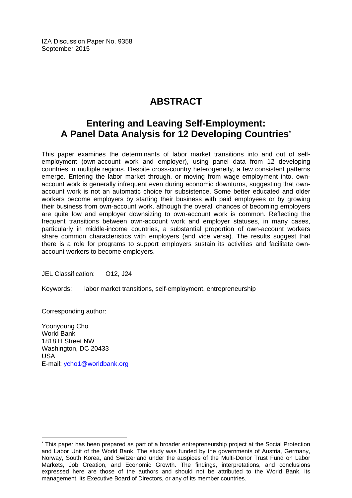IZA Discussion Paper No. 9358 September 2015

## **ABSTRACT**

## **Entering and Leaving Self-Employment: A Panel Data Analysis for 12 Developing Countries\***

This paper examines the determinants of labor market transitions into and out of selfemployment (own-account work and employer), using panel data from 12 developing countries in multiple regions. Despite cross-country heterogeneity, a few consistent patterns emerge. Entering the labor market through, or moving from wage employment into, ownaccount work is generally infrequent even during economic downturns, suggesting that ownaccount work is not an automatic choice for subsistence. Some better educated and older workers become employers by starting their business with paid employees or by growing their business from own-account work, although the overall chances of becoming employers are quite low and employer downsizing to own-account work is common. Reflecting the frequent transitions between own-account work and employer statuses, in many cases, particularly in middle-income countries, a substantial proportion of own-account workers share common characteristics with employers (and vice versa). The results suggest that there is a role for programs to support employers sustain its activities and facilitate ownaccount workers to become employers.

JEL Classification: O12, J24

Keywords: labor market transitions, self-employment, entrepreneurship

Corresponding author:

 $\overline{a}$ 

Yoonyoung Cho World Bank 1818 H Street NW Washington, DC 20433 USA E-mail: ycho1@worldbank.org

<sup>\*</sup> This paper has been prepared as part of a broader entrepreneurship project at the Social Protection and Labor Unit of the World Bank. The study was funded by the governments of Austria, Germany, Norway, South Korea, and Switzerland under the auspices of the Multi-Donor Trust Fund on Labor Markets, Job Creation, and Economic Growth. The findings, interpretations, and conclusions expressed here are those of the authors and should not be attributed to the World Bank, its management, its Executive Board of Directors, or any of its member countries.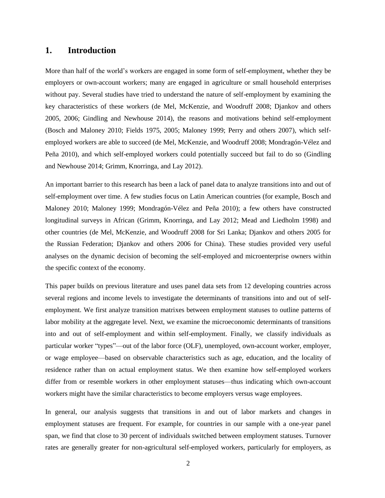### **1. Introduction**

More than half of the world's workers are engaged in some form of self-employment, whether they be employers or own-account workers; many are engaged in agriculture or small household enterprises without pay. Several studies have tried to understand the nature of self-employment by examining the key characteristics of these workers (de Mel, McKenzie, and Woodruff 2008; Djankov and others 2005, 2006; Gindling and Newhouse 2014), the reasons and motivations behind self-employment (Bosch and Maloney 2010; Fields 1975, 2005; Maloney 1999; Perry and others 2007), which selfemployed workers are able to succeed (de Mel, McKenzie, and Woodruff 2008; Mondragón-Vélez and Peña 2010), and which self-employed workers could potentially succeed but fail to do so (Gindling and Newhouse 2014; Grimm, Knorringa, and Lay 2012).

An important barrier to this research has been a lack of panel data to analyze transitions into and out of self-employment over time. A few studies focus on Latin American countries (for example, Bosch and Maloney 2010; Maloney 1999; Mondragón-Vélez and Peña 2010); a few others have constructed longitudinal surveys in African (Grimm, Knorringa, and Lay 2012; Mead and Liedholm 1998) and other countries (de Mel, McKenzie, and Woodruff 2008 for Sri Lanka; Djankov and others 2005 for the Russian Federation; Djankov and others 2006 for China). These studies provided very useful analyses on the dynamic decision of becoming the self-employed and microenterprise owners within the specific context of the economy.

This paper builds on previous literature and uses panel data sets from 12 developing countries across several regions and income levels to investigate the determinants of transitions into and out of selfemployment. We first analyze transition matrixes between employment statuses to outline patterns of labor mobility at the aggregate level. Next, we examine the microeconomic determinants of transitions into and out of self-employment and within self-employment. Finally, we classify individuals as particular worker "types"—out of the labor force (OLF), unemployed, own-account worker, employer, or wage employee—based on observable characteristics such as age, education, and the locality of residence rather than on actual employment status. We then examine how self-employed workers differ from or resemble workers in other employment statuses—thus indicating which own-account workers might have the similar characteristics to become employers versus wage employees.

In general, our analysis suggests that transitions in and out of labor markets and changes in employment statuses are frequent. For example, for countries in our sample with a one-year panel span, we find that close to 30 percent of individuals switched between employment statuses. Turnover rates are generally greater for non-agricultural self-employed workers, particularly for employers, as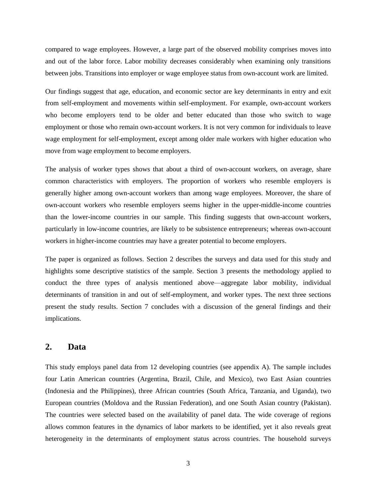compared to wage employees. However, a large part of the observed mobility comprises moves into and out of the labor force. Labor mobility decreases considerably when examining only transitions between jobs. Transitions into employer or wage employee status from own-account work are limited.

Our findings suggest that age, education, and economic sector are key determinants in entry and exit from self-employment and movements within self-employment. For example, own-account workers who become employers tend to be older and better educated than those who switch to wage employment or those who remain own-account workers. It is not very common for individuals to leave wage employment for self-employment, except among older male workers with higher education who move from wage employment to become employers.

The analysis of worker types shows that about a third of own-account workers, on average, share common characteristics with employers. The proportion of workers who resemble employers is generally higher among own-account workers than among wage employees. Moreover, the share of own-account workers who resemble employers seems higher in the upper-middle-income countries than the lower-income countries in our sample. This finding suggests that own-account workers, particularly in low-income countries, are likely to be subsistence entrepreneurs; whereas own-account workers in higher-income countries may have a greater potential to become employers.

The paper is organized as follows. Section 2 describes the surveys and data used for this study and highlights some descriptive statistics of the sample. Section 3 presents the methodology applied to conduct the three types of analysis mentioned above—aggregate labor mobility, individual determinants of transition in and out of self-employment, and worker types. The next three sections present the study results. Section 7 concludes with a discussion of the general findings and their implications.

## **2. Data**

This study employs panel data from 12 developing countries (see appendix A). The sample includes four Latin American countries (Argentina, Brazil, Chile, and Mexico), two East Asian countries (Indonesia and the Philippines), three African countries (South Africa, Tanzania, and Uganda), two European countries (Moldova and the Russian Federation), and one South Asian country (Pakistan). The countries were selected based on the availability of panel data. The wide coverage of regions allows common features in the dynamics of labor markets to be identified, yet it also reveals great heterogeneity in the determinants of employment status across countries. The household surveys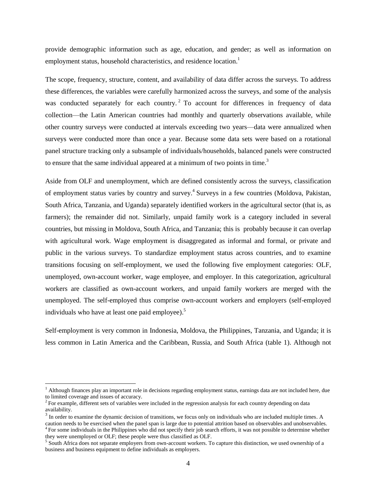provide demographic information such as age, education, and gender; as well as information on employment status, household characteristics, and residence location.<sup>1</sup>

The scope, frequency, structure, content, and availability of data differ across the surveys. To address these differences, the variables were carefully harmonized across the surveys, and some of the analysis was conducted separately for each country.<sup>2</sup> To account for differences in frequency of data collection—the Latin American countries had monthly and quarterly observations available, while other country surveys were conducted at intervals exceeding two years—data were annualized when surveys were conducted more than once a year. Because some data sets were based on a rotational panel structure tracking only a subsample of individuals/households, balanced panels were constructed to ensure that the same individual appeared at a minimum of two points in time.<sup>3</sup>

Aside from OLF and unemployment, which are defined consistently across the surveys, classification of employment status varies by country and survey. 4 Surveys in a few countries (Moldova, Pakistan, South Africa, Tanzania, and Uganda) separately identified workers in the agricultural sector (that is, as farmers); the remainder did not. Similarly, unpaid family work is a category included in several countries, but missing in Moldova, South Africa, and Tanzania; this is probably because it can overlap with agricultural work. Wage employment is disaggregated as informal and formal, or private and public in the various surveys. To standardize employment status across countries, and to examine transitions focusing on self-employment, we used the following five employment categories: OLF, unemployed, own-account worker, wage employee, and employer. In this categorization, agricultural workers are classified as own-account workers, and unpaid family workers are merged with the unemployed. The self-employed thus comprise own-account workers and employers (self-employed individuals who have at least one paid employee).<sup>5</sup>

Self-employment is very common in Indonesia, Moldova, the Philippines, Tanzania, and Uganda; it is less common in Latin America and the Caribbean, Russia, and South Africa (table 1). Although not

l

 $<sup>1</sup>$  Although finances play an important role in decisions regarding employment status, earnings data are not included here, due</sup> to limited coverage and issues of accuracy.

<sup>&</sup>lt;sup>2</sup> For example, different sets of variables were included in the regression analysis for each country depending on data availability.

 $3 \text{ In order to examine the dynamic decision of transitions, we focus only on individuals who are included multiple times. A$ 

caution needs to be exercised when the panel span is large due to potential attrition based on observables and unobservables. <sup>4</sup> For some individuals in the Philippines who did not specify their job search efforts, it was not possible to determine whether they were unemployed or OLF; these people were thus classified as OLF.

<sup>&</sup>lt;sup>5</sup> South Africa does not separate employers from own-account workers. To capture this distinction, we used ownership of a business and business equipment to define individuals as employers.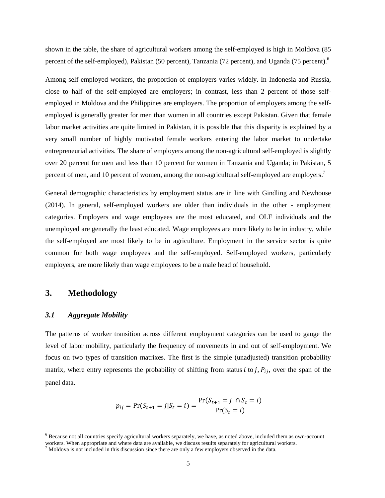shown in the table, the share of agricultural workers among the self-employed is high in Moldova (85 percent of the self-employed), Pakistan (50 percent), Tanzania (72 percent), and Uganda (75 percent).<sup>6</sup>

Among self-employed workers, the proportion of employers varies widely. In Indonesia and Russia, close to half of the self-employed are employers; in contrast, less than 2 percent of those selfemployed in Moldova and the Philippines are employers. The proportion of employers among the selfemployed is generally greater for men than women in all countries except Pakistan. Given that female labor market activities are quite limited in Pakistan, it is possible that this disparity is explained by a very small number of highly motivated female workers entering the labor market to undertake entrepreneurial activities. The share of employers among the non-agricultural self-employed is slightly over 20 percent for men and less than 10 percent for women in Tanzania and Uganda; in Pakistan, 5 percent of men, and 10 percent of women, among the non-agricultural self-employed are employers.<sup>7</sup>

General demographic characteristics by employment status are in line with Gindling and Newhouse (2014). In general, self-employed workers are older than individuals in the other - employment categories. Employers and wage employees are the most educated, and OLF individuals and the unemployed are generally the least educated. Wage employees are more likely to be in industry, while the self-employed are most likely to be in agriculture. Employment in the service sector is quite common for both wage employees and the self-employed. Self-employed workers, particularly employers, are more likely than wage employees to be a male head of household.

### **3. Methodology**

 $\overline{a}$ 

### *3.1 Aggregate Mobility*

The patterns of worker transition across different employment categories can be used to gauge the level of labor mobility, particularly the frequency of movements in and out of self-employment. We focus on two types of transition matrixes. The first is the simple (unadjusted) transition probability matrix, where entry represents the probability of shifting from status  $i$  to  $j$ ,  $P_{ij}$ , over the span of the panel data.

$$
p_{ij} = \Pr(S_{t+1} = j | S_t = i) = \frac{\Pr(S_{t+1} = j \cap S_t = i)}{\Pr(S_t = i)}
$$

 $6$  Because not all countries specify agricultural workers separately, we have, as noted above, included them as own-account workers. When appropriate and where data are available, we discuss results separately for agricultural workers.

 $7$  Moldova is not included in this discussion since there are only a few employers observed in the data.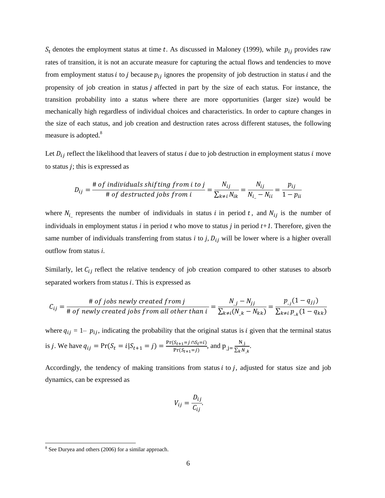$S_t$  denotes the employment status at time t. As discussed in Maloney (1999), while  $p_{ij}$  provides raw rates of transition, it is not an accurate measure for capturing the actual flows and tendencies to move from employment status *i* to *j* because  $p_{ij}$  ignores the propensity of job destruction in status *i* and the propensity of job creation in status  $j$  affected in part by the size of each status. For instance, the transition probability into a status where there are more opportunities (larger size) would be mechanically high regardless of individual choices and characteristics. In order to capture changes in the size of each status, and job creation and destruction rates across different statuses, the following measure is adopted.<sup>8</sup>

Let  $D_{ij}$  reflect the likelihood that leavers of status *i* due to job destruction in employment status *i* move to status  $\dot{i}$ ; this is expressed as

$$
D_{ij} = \frac{\text{# of individuals shifting from i to j}}{\text{# of destroyed jobs from i}} = \frac{N_{ij}}{\sum_{k \neq i} N_{ik}} = \frac{N_{ij}}{N_{i} - N_{ii}} = \frac{p_{ij}}{1 - p_{ii}}
$$

where  $N_i$  represents the number of individuals in status *i* in period *t*, and  $N_{ij}$  is the number of individuals in employment status *i* in period *t* who move to status *j* in period *t+1.* Therefore, given the same number of individuals transferring from status  $i$  to  $j$ ,  $D_{ij}$  will be lower where is a higher overall outflow from status *i*.

Similarly, let  $C_{ij}$  reflect the relative tendency of job creation compared to other statuses to absorb separated workers from status  $i$ . This is expressed as

$$
C_{ij} = \frac{\text{# of jobs newly created from j}}{\text{# of newly created jobs from all other than i}} = \frac{N_j - N_{jj}}{\sum_{k \neq i} (N_{.k} - N_{kk})} = \frac{p_{.j}(1 - q_{jj})}{\sum_{k \neq i} p_{.k}(1 - q_{kk})}
$$

where  $q_{ij} = 1-p_{ij}$ , indicating the probability that the original status is *i* given that the terminal status is j. We have  $q_{ij} = Pr(S_t = i | S_{t+1} = j) = \frac{Pr(S_{t+1} = j | S_t = i)}{Pr(S_{t+1} = j)}$  $\frac{S_{t+1} = j \cap S_t = i}{\Pr(S_{t+1} = j)}$ , and  $p_{j} = \frac{N_{j}}{\sum_k N_{j}}$  $\frac{N_{-1}}{\sum_{k} N_{-k}}$ .

Accordingly, the tendency of making transitions from status  $i$  to  $j$ , adjusted for status size and job dynamics, can be expressed as

$$
V_{ij} = \frac{D_{ij}}{C_{ij}}.
$$

 $\overline{a}$ 

<sup>&</sup>lt;sup>8</sup> See Duryea and others (2006) for a similar approach.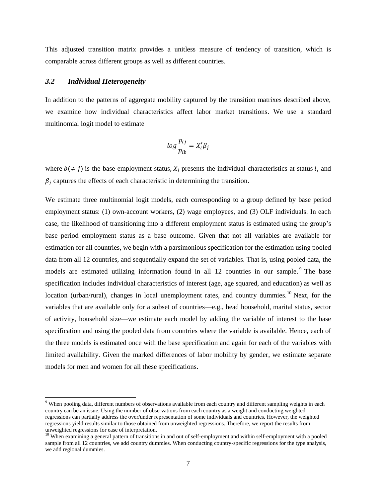This adjusted transition matrix provides a unitless measure of tendency of transition, which is comparable across different groups as well as different countries.

#### *3.2 Individual Heterogeneity*

 $\overline{a}$ 

In addition to the patterns of aggregate mobility captured by the transition matrixes described above, we examine how individual characteristics affect labor market transitions. We use a standard multinomial logit model to estimate

$$
log \frac{p_{ij}}{p_{ib}} = X'_i \beta_j
$$

where  $b \neq j$ ) is the base employment status,  $X_i$  presents the individual characteristics at status *i*, and  $\beta_i$  captures the effects of each characteristic in determining the transition.

We estimate three multinomial logit models, each corresponding to a group defined by base period employment status: (1) own-account workers, (2) wage employees, and (3) OLF individuals. In each case, the likelihood of transitioning into a different employment status is estimated using the group's base period employment status as a base outcome. Given that not all variables are available for estimation for all countries, we begin with a parsimonious specification for the estimation using pooled data from all 12 countries, and sequentially expand the set of variables. That is, using pooled data, the models are estimated utilizing information found in all 12 countries in our sample. The base specification includes individual characteristics of interest (age, age squared, and education) as well as location (urban/rural), changes in local unemployment rates, and country dummies.<sup>10</sup> Next, for the variables that are available only for a subset of countries—e.g., head household, marital status, sector of activity, household size—we estimate each model by adding the variable of interest to the base specification and using the pooled data from countries where the variable is available. Hence, each of the three models is estimated once with the base specification and again for each of the variables with limited availability. Given the marked differences of labor mobility by gender, we estimate separate models for men and women for all these specifications.

<sup>&</sup>lt;sup>9</sup> When pooling data, different numbers of observations available from each country and different sampling weights in each country can be an issue. Using the number of observations from each country as a weight and conducting weighted regressions can partially address the over/under representation of some individuals and countries. However, the weighted regressions yield results similar to those obtained from unweighted regressions. Therefore, we report the results from unweighted regressions for ease of interpretation.

<sup>&</sup>lt;sup>10</sup> When examining a general pattern of transitions in and out of self-employment and within self-employment with a pooled sample from all 12 countries, we add country dummies. When conducting country-specific regressions for the type analysis, we add regional dummies.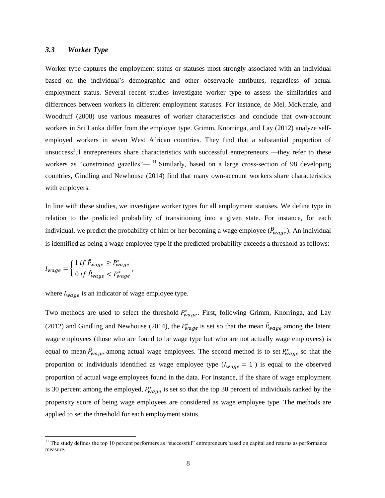#### *3.3 Worker Type*

Worker type captures the employment status or statuses most strongly associated with an individual based on the individual's demographic and other observable attributes, regardless of actual employment status. Several recent studies investigate worker type to assess the similarities and differences between workers in different employment statuses. For instance, de Mel, McKenzie, and Woodruff (2008) use various measures of worker characteristics and conclude that own-account workers in Sri Lanka differ from the employer type. Grimm, Knorringa, and Lay (2012) analyze selfemployed workers in seven West African countries. They find that a substantial proportion of unsuccessful entrepreneurs share characteristics with successful entrepreneurs —they refer to these workers as "constrained gazelles"—.<sup>11</sup> Similarly, based on a large cross-section of 98 developing countries, Gindling and Newhouse (2014) find that many own-account workers share characteristics with employers.

In line with these studies, we investigate worker types for all employment statuses. We define type in relation to the predicted probability of transitioning into a given state. For instance, for each individual, we predict the probability of him or her becoming a wage employee ( $\hat{P}_{wage}$ ). An individual is identified as being a wage employee type if the predicted probability exceeds a threshold as follows:

$$
I_{wage} = \begin{cases} 1 \text{ if } \hat{P}_{wage} \ge P_{wage}^* \\ 0 \text{ if } \hat{P}_{wage} < P_{wage}^* \end{cases}
$$

l

where  $I_{waa}$  is an indicator of wage employee type.

Two methods are used to select the threshold  $P_{wage}^*$ . First, following Grimm, Knorringa, and Lay (2012) and Gindling and Newhouse (2014), the  $P_{wage}^*$  is set so that the mean  $\hat{P}_{wage}$  among the latent wage employees (those who are found to be wage type but who are not actually wage employees) is equal to mean  $\hat{P}_{wage}$  among actual wage employees. The second method is to set  $P_{wage}^*$  so that the proportion of individuals identified as wage employee type  $(I_{wage} = 1)$  is equal to the observed proportion of actual wage employees found in the data. For instance, if the share of wage employment is 30 percent among the employed,  $P_{wage}^*$  is set so that the top 30 percent of individuals ranked by the propensity score of being wage employees are considered as wage employee type. The methods are applied to set the threshold for each employment status.

 $11$  The study defines the top 10 percent performers as "successful" entrepreneurs based on capital and returns as performance measure.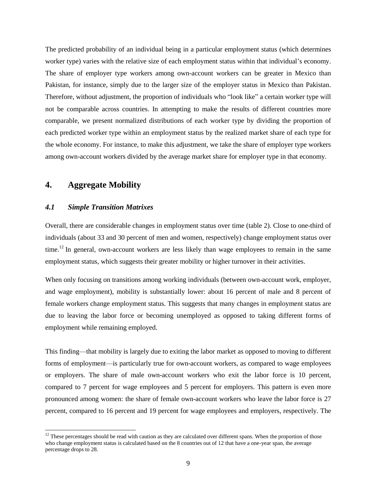The predicted probability of an individual being in a particular employment status (which determines worker type) varies with the relative size of each employment status within that individual's economy. The share of employer type workers among own-account workers can be greater in Mexico than Pakistan, for instance, simply due to the larger size of the employer status in Mexico than Pakistan. Therefore, without adjustment, the proportion of individuals who "look like" a certain worker type will not be comparable across countries. In attempting to make the results of different countries more comparable, we present normalized distributions of each worker type by dividing the proportion of each predicted worker type within an employment status by the realized market share of each type for the whole economy. For instance, to make this adjustment, we take the share of employer type workers among own-account workers divided by the average market share for employer type in that economy.

## **4. Aggregate Mobility**

 $\overline{a}$ 

#### *4.1 Simple Transition Matrixes*

Overall, there are considerable changes in employment status over time (table 2). Close to one-third of individuals (about 33 and 30 percent of men and women, respectively) change employment status over time.<sup>12</sup> In general, own-account workers are less likely than wage employees to remain in the same employment status, which suggests their greater mobility or higher turnover in their activities.

When only focusing on transitions among working individuals (between own-account work, employer, and wage employment), mobility is substantially lower: about 16 percent of male and 8 percent of female workers change employment status. This suggests that many changes in employment status are due to leaving the labor force or becoming unemployed as opposed to taking different forms of employment while remaining employed.

This finding—that mobility is largely due to exiting the labor market as opposed to moving to different forms of employment—is particularly true for own-account workers, as compared to wage employees or employers. The share of male own-account workers who exit the labor force is 10 percent, compared to 7 percent for wage employees and 5 percent for employers. This pattern is even more pronounced among women: the share of female own-account workers who leave the labor force is 27 percent, compared to 16 percent and 19 percent for wage employees and employers, respectively. The

 $12$  These percentages should be read with caution as they are calculated over different spans. When the proportion of those who change employment status is calculated based on the 8 countries out of 12 that have a one-year span, the average percentage drops to 28.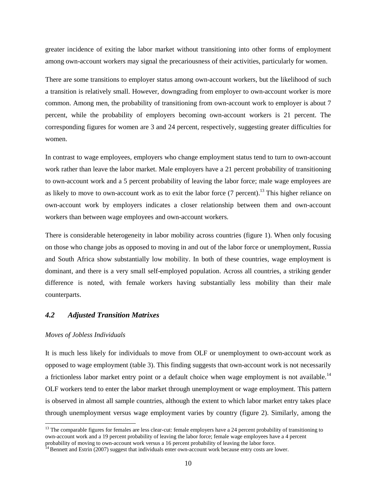greater incidence of exiting the labor market without transitioning into other forms of employment among own-account workers may signal the precariousness of their activities, particularly for women.

There are some transitions to employer status among own-account workers, but the likelihood of such a transition is relatively small. However, downgrading from employer to own-account worker is more common. Among men, the probability of transitioning from own-account work to employer is about 7 percent, while the probability of employers becoming own-account workers is 21 percent. The corresponding figures for women are 3 and 24 percent, respectively, suggesting greater difficulties for women.

In contrast to wage employees, employers who change employment status tend to turn to own-account work rather than leave the labor market. Male employers have a 21 percent probability of transitioning to own-account work and a 5 percent probability of leaving the labor force; male wage employees are as likely to move to own-account work as to exit the labor force (7 percent).<sup>13</sup> This higher reliance on own-account work by employers indicates a closer relationship between them and own-account workers than between wage employees and own-account workers.

There is considerable heterogeneity in labor mobility across countries (figure 1). When only focusing on those who change jobs as opposed to moving in and out of the labor force or unemployment, Russia and South Africa show substantially low mobility. In both of these countries, wage employment is dominant, and there is a very small self-employed population. Across all countries, a striking gender difference is noted, with female workers having substantially less mobility than their male counterparts.

## *4.2 Adjusted Transition Matrixes*

#### *Moves of Jobless Individuals*

l

It is much less likely for individuals to move from OLF or unemployment to own-account work as opposed to wage employment (table 3). This finding suggests that own-account work is not necessarily a frictionless labor market entry point or a default choice when wage employment is not available.<sup>14</sup> OLF workers tend to enter the labor market through unemployment or wage employment. This pattern is observed in almost all sample countries, although the extent to which labor market entry takes place through unemployment versus wage employment varies by country (figure 2). Similarly, among the

 $13$  The comparable figures for females are less clear-cut: female employers have a 24 percent probability of transitioning to own-account work and a 19 percent probability of leaving the labor force; female wage employees have a 4 percent probability of moving to own-account work versus a 16 percent probability of leaving the labor force.

<sup>&</sup>lt;sup>14</sup> Bennett and Estrin (2007) suggest that individuals enter own-account work because entry costs are lower.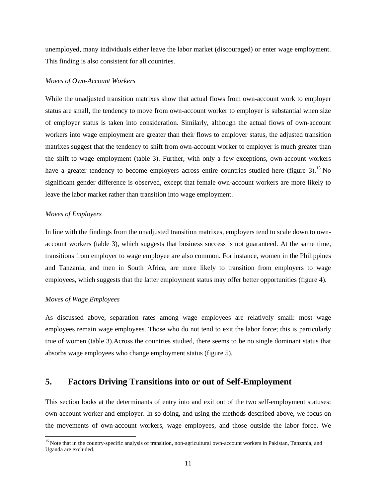unemployed, many individuals either leave the labor market (discouraged) or enter wage employment. This finding is also consistent for all countries.

#### *Moves of Own-Account Workers*

While the unadjusted transition matrixes show that actual flows from own-account work to employer status are small, the tendency to move from own-account worker to employer is substantial when size of employer status is taken into consideration. Similarly, although the actual flows of own-account workers into wage employment are greater than their flows to employer status, the adjusted transition matrixes suggest that the tendency to shift from own-account worker to employer is much greater than the shift to wage employment (table 3). Further, with only a few exceptions, own-account workers have a greater tendency to become employers across entire countries studied here (figure 3).<sup>15</sup> No significant gender difference is observed, except that female own-account workers are more likely to leave the labor market rather than transition into wage employment.

#### *Moves of Employers*

In line with the findings from the unadjusted transition matrixes, employers tend to scale down to ownaccount workers (table 3), which suggests that business success is not guaranteed. At the same time, transitions from employer to wage employee are also common. For instance, women in the Philippines and Tanzania, and men in South Africa, are more likely to transition from employers to wage employees, which suggests that the latter employment status may offer better opportunities (figure 4).

#### *Moves of Wage Employees*

l

As discussed above, separation rates among wage employees are relatively small: most wage employees remain wage employees. Those who do not tend to exit the labor force; this is particularly true of women (table 3).Across the countries studied, there seems to be no single dominant status that absorbs wage employees who change employment status (figure 5).

## **5. Factors Driving Transitions into or out of Self-Employment**

This section looks at the determinants of entry into and exit out of the two self-employment statuses: own-account worker and employer. In so doing, and using the methods described above, we focus on the movements of own-account workers, wage employees, and those outside the labor force. We

<sup>&</sup>lt;sup>15</sup> Note that in the country-specific analysis of transition, non-agricultural own-account workers in Pakistan, Tanzania, and Uganda are excluded.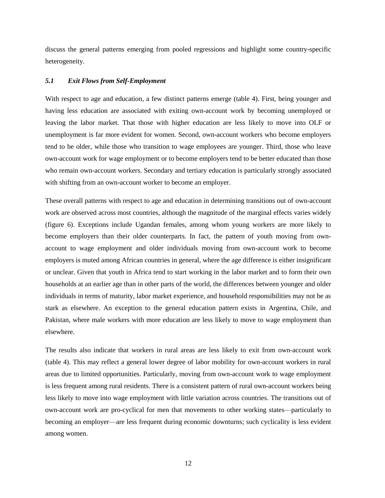discuss the general patterns emerging from pooled regressions and highlight some country-specific heterogeneity.

#### *5.1 Exit Flows from Self-Employment*

With respect to age and education, a few distinct patterns emerge (table 4). First, being younger and having less education are associated with exiting own-account work by becoming unemployed or leaving the labor market. That those with higher education are less likely to move into OLF or unemployment is far more evident for women. Second, own-account workers who become employers tend to be older, while those who transition to wage employees are younger. Third, those who leave own-account work for wage employment or to become employers tend to be better educated than those who remain own-account workers. Secondary and tertiary education is particularly strongly associated with shifting from an own-account worker to become an employer.

These overall patterns with respect to age and education in determining transitions out of own-account work are observed across most countries, although the magnitude of the marginal effects varies widely (figure 6). Exceptions include Ugandan females, among whom young workers are more likely to become employers than their older counterparts. In fact, the pattern of youth moving from ownaccount to wage employment and older individuals moving from own-account work to become employers is muted among African countries in general, where the age difference is either insignificant or unclear. Given that youth in Africa tend to start working in the labor market and to form their own households at an earlier age than in other parts of the world, the differences between younger and older individuals in terms of maturity, labor market experience, and household responsibilities may not be as stark as elsewhere. An exception to the general education pattern exists in Argentina, Chile, and Pakistan, where male workers with more education are less likely to move to wage employment than elsewhere.

The results also indicate that workers in rural areas are less likely to exit from own-account work (table 4). This may reflect a general lower degree of labor mobility for own-account workers in rural areas due to limited opportunities. Particularly, moving from own-account work to wage employment is less frequent among rural residents. There is a consistent pattern of rural own-account workers being less likely to move into wage employment with little variation across countries. The transitions out of own-account work are pro-cyclical for men that movements to other working states—particularly to becoming an employer—are less frequent during economic downturns; such cyclicality is less evident among women.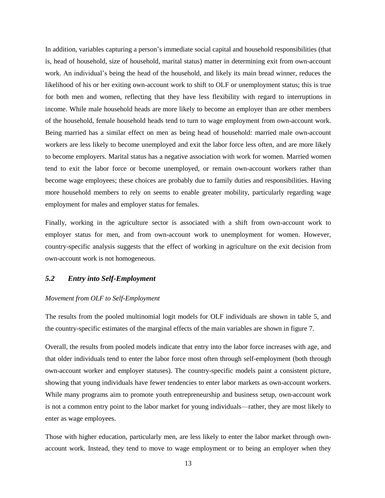In addition, variables capturing a person's immediate social capital and household responsibilities (that is, head of household, size of household, marital status) matter in determining exit from own-account work. An individual's being the head of the household, and likely its main bread winner, reduces the likelihood of his or her exiting own-account work to shift to OLF or unemployment status; this is true for both men and women, reflecting that they have less flexibility with regard to interruptions in income. While male household heads are more likely to become an employer than are other members of the household, female household heads tend to turn to wage employment from own-account work. Being married has a similar effect on men as being head of household: married male own-account workers are less likely to become unemployed and exit the labor force less often, and are more likely to become employers. Marital status has a negative association with work for women. Married women tend to exit the labor force or become unemployed, or remain own-account workers rather than become wage employees; these choices are probably due to family duties and responsibilities. Having more household members to rely on seems to enable greater mobility, particularly regarding wage employment for males and employer status for females.

Finally, working in the agriculture sector is associated with a shift from own-account work to employer status for men, and from own-account work to unemployment for women. However, country-specific analysis suggests that the effect of working in agriculture on the exit decision from own-account work is not homogeneous.

#### *5.2 Entry into Self-Employment*

#### *Movement from OLF to Self-Employment*

The results from the pooled multinomial logit models for OLF individuals are shown in table 5, and the country-specific estimates of the marginal effects of the main variables are shown in figure 7.

Overall, the results from pooled models indicate that entry into the labor force increases with age, and that older individuals tend to enter the labor force most often through self-employment (both through own-account worker and employer statuses). The country-specific models paint a consistent picture, showing that young individuals have fewer tendencies to enter labor markets as own-account workers. While many programs aim to promote youth entrepreneurship and business setup, own-account work is not a common entry point to the labor market for young individuals—rather, they are most likely to enter as wage employees.

Those with higher education, particularly men, are less likely to enter the labor market through ownaccount work. Instead, they tend to move to wage employment or to being an employer when they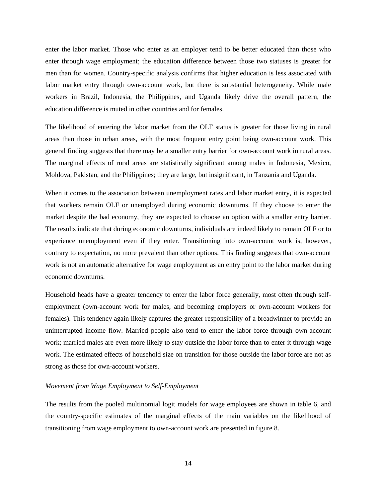enter the labor market. Those who enter as an employer tend to be better educated than those who enter through wage employment; the education difference between those two statuses is greater for men than for women. Country-specific analysis confirms that higher education is less associated with labor market entry through own-account work, but there is substantial heterogeneity. While male workers in Brazil, Indonesia, the Philippines, and Uganda likely drive the overall pattern, the education difference is muted in other countries and for females.

The likelihood of entering the labor market from the OLF status is greater for those living in rural areas than those in urban areas, with the most frequent entry point being own-account work. This general finding suggests that there may be a smaller entry barrier for own-account work in rural areas. The marginal effects of rural areas are statistically significant among males in Indonesia, Mexico, Moldova, Pakistan, and the Philippines; they are large, but insignificant, in Tanzania and Uganda.

When it comes to the association between unemployment rates and labor market entry, it is expected that workers remain OLF or unemployed during economic downturns. If they choose to enter the market despite the bad economy, they are expected to choose an option with a smaller entry barrier. The results indicate that during economic downturns, individuals are indeed likely to remain OLF or to experience unemployment even if they enter. Transitioning into own-account work is, however, contrary to expectation, no more prevalent than other options. This finding suggests that own-account work is not an automatic alternative for wage employment as an entry point to the labor market during economic downturns.

Household heads have a greater tendency to enter the labor force generally, most often through selfemployment (own-account work for males, and becoming employers or own-account workers for females). This tendency again likely captures the greater responsibility of a breadwinner to provide an uninterrupted income flow. Married people also tend to enter the labor force through own-account work; married males are even more likely to stay outside the labor force than to enter it through wage work. The estimated effects of household size on transition for those outside the labor force are not as strong as those for own-account workers.

#### *Movement from Wage Employment to Self-Employment*

The results from the pooled multinomial logit models for wage employees are shown in table 6, and the country-specific estimates of the marginal effects of the main variables on the likelihood of transitioning from wage employment to own-account work are presented in figure 8.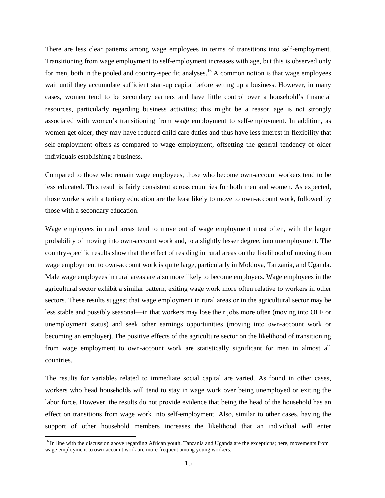There are less clear patterns among wage employees in terms of transitions into self-employment. Transitioning from wage employment to self-employment increases with age, but this is observed only for men, both in the pooled and country-specific analyses.<sup>16</sup> A common notion is that wage employees wait until they accumulate sufficient start-up capital before setting up a business. However, in many cases, women tend to be secondary earners and have little control over a household's financial resources, particularly regarding business activities; this might be a reason age is not strongly associated with women's transitioning from wage employment to self-employment. In addition, as women get older, they may have reduced child care duties and thus have less interest in flexibility that self-employment offers as compared to wage employment, offsetting the general tendency of older individuals establishing a business.

Compared to those who remain wage employees, those who become own-account workers tend to be less educated. This result is fairly consistent across countries for both men and women. As expected, those workers with a tertiary education are the least likely to move to own-account work, followed by those with a secondary education.

Wage employees in rural areas tend to move out of wage employment most often, with the larger probability of moving into own-account work and, to a slightly lesser degree, into unemployment. The country-specific results show that the effect of residing in rural areas on the likelihood of moving from wage employment to own-account work is quite large, particularly in Moldova, Tanzania, and Uganda. Male wage employees in rural areas are also more likely to become employers. Wage employees in the agricultural sector exhibit a similar pattern, exiting wage work more often relative to workers in other sectors. These results suggest that wage employment in rural areas or in the agricultural sector may be less stable and possibly seasonal—in that workers may lose their jobs more often (moving into OLF or unemployment status) and seek other earnings opportunities (moving into own-account work or becoming an employer). The positive effects of the agriculture sector on the likelihood of transitioning from wage employment to own-account work are statistically significant for men in almost all countries.

The results for variables related to immediate social capital are varied. As found in other cases, workers who head households will tend to stay in wage work over being unemployed or exiting the labor force. However, the results do not provide evidence that being the head of the household has an effect on transitions from wage work into self-employment. Also, similar to other cases, having the support of other household members increases the likelihood that an individual will enter

l

<sup>&</sup>lt;sup>16</sup> In line with the discussion above regarding African youth, Tanzania and Uganda are the exceptions; here, movements from wage employment to own-account work are more frequent among young workers.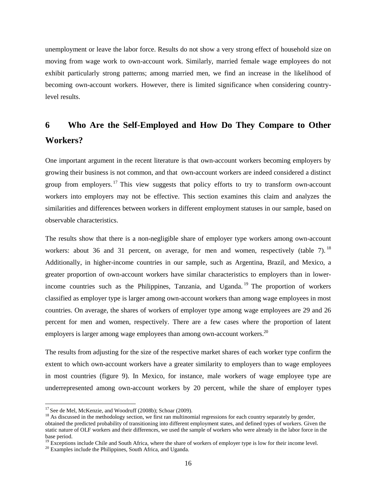unemployment or leave the labor force. Results do not show a very strong effect of household size on moving from wage work to own-account work. Similarly, married female wage employees do not exhibit particularly strong patterns; among married men, we find an increase in the likelihood of becoming own-account workers. However, there is limited significance when considering countrylevel results.

## **6 Who Are the Self-Employed and How Do They Compare to Other Workers?**

One important argument in the recent literature is that own-account workers becoming employers by growing their business is not common, and that own-account workers are indeed considered a distinct group from employers.<sup>17</sup> This view suggests that policy efforts to try to transform own-account workers into employers may not be effective. This section examines this claim and analyzes the similarities and differences between workers in different employment statuses in our sample, based on observable characteristics.

The results show that there is a non-negligible share of employer type workers among own-account workers: about 36 and 31 percent, on average, for men and women, respectively (table 7).<sup>18</sup> Additionally, in higher-income countries in our sample, such as Argentina, Brazil, and Mexico, a greater proportion of own-account workers have similar characteristics to employers than in lowerincome countries such as the Philippines, Tanzania, and Uganda.<sup>19</sup> The proportion of workers classified as employer type is larger among own-account workers than among wage employees in most countries. On average, the shares of workers of employer type among wage employees are 29 and 26 percent for men and women, respectively. There are a few cases where the proportion of latent employers is larger among wage employees than among own-account workers.<sup>20</sup>

The results from adjusting for the size of the respective market shares of each worker type confirm the extent to which own-account workers have a greater similarity to employers than to wage employees in most countries (figure 9). In Mexico, for instance, male workers of wage employee type are underrepresented among own-account workers by 20 percent, while the share of employer types

l

 $17$  See de Mel, McKenzie, and Woodruff (2008b); Schoar (2009).

 $18$  As discussed in the methodology section, we first ran multinomial regressions for each country separately by gender,

obtained the predicted probability of transitioning into different employment states, and defined types of workers. Given the static nature of OLF workers and their differences, we used the sample of workers who were already in the labor force in the base period.

<sup>&</sup>lt;sup>19</sup> Exceptions include Chile and South Africa, where the share of workers of employer type is low for their income level.

<sup>&</sup>lt;sup>20</sup> Examples include the Philippines, South Africa, and Uganda.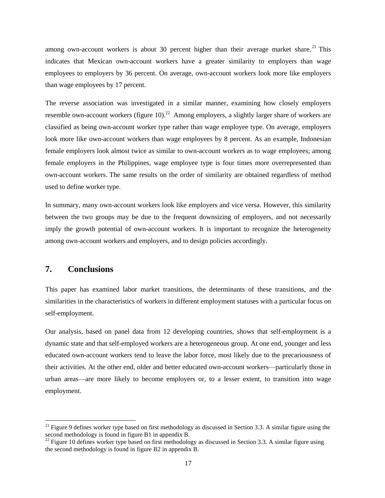among own-account workers is about 30 percent higher than their average market share.<sup>21</sup> This indicates that Mexican own-account workers have a greater similarity to employers than wage employees to employers by 36 percent. On average, own-account workers look more like employers than wage employees by 17 percent.

The reverse association was investigated in a similar manner, examining how closely employers resemble own-account workers (figure 10).<sup>22</sup> Among employers, a slightly larger share of workers are classified as being own-account worker type rather than wage employee type. On average, employers look more like own-account workers than wage employees by 8 percent. As an example, Indonesian female employers look almost twice as similar to own-account workers as to wage employees; among female employers in the Philippines, wage employee type is four times more overrepresented than own-account workers. The same results on the order of similarity are obtained regardless of method used to define worker type.

In summary, many own-account workers look like employers and vice versa. However, this similarity between the two groups may be due to the frequent downsizing of employers, and not necessarily imply the growth potential of own-account workers. It is important to recognize the heterogeneity among own-account workers and employers, and to design policies accordingly.

### **7. Conclusions**

 $\overline{a}$ 

This paper has examined labor market transitions, the determinants of these transitions, and the similarities in the characteristics of workers in different employment statuses with a particular focus on self-employment.

Our analysis, based on panel data from 12 developing countries, shows that self-employment is a dynamic state and that self-employed workers are a heterogeneous group. At one end, younger and less educated own-account workers tend to leave the labor force, most likely due to the precariousness of their activities. At the other end, older and better educated own-account workers—particularly those in urban areas—are more likely to become employers or, to a lesser extent, to transition into wage employment.

<sup>&</sup>lt;sup>21</sup> Figure 9 defines worker type based on first methodology as discussed in Section 3.3. A similar figure using the second methodology is found in figure B1 in appendix B.

 $^{22}$  Figure 10 defines worker type based on first methodology as discussed in Section 3.3. A similar figure using the second methodology is found in figure B2 in appendix B.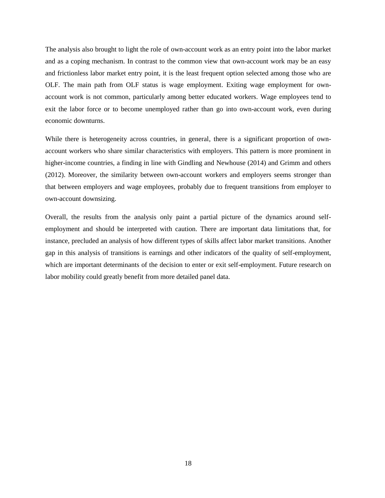The analysis also brought to light the role of own-account work as an entry point into the labor market and as a coping mechanism. In contrast to the common view that own-account work may be an easy and frictionless labor market entry point, it is the least frequent option selected among those who are OLF. The main path from OLF status is wage employment. Exiting wage employment for ownaccount work is not common, particularly among better educated workers. Wage employees tend to exit the labor force or to become unemployed rather than go into own-account work, even during economic downturns.

While there is heterogeneity across countries, in general, there is a significant proportion of ownaccount workers who share similar characteristics with employers. This pattern is more prominent in higher-income countries, a finding in line with Gindling and Newhouse (2014) and Grimm and others (2012). Moreover, the similarity between own-account workers and employers seems stronger than that between employers and wage employees, probably due to frequent transitions from employer to own-account downsizing.

Overall, the results from the analysis only paint a partial picture of the dynamics around selfemployment and should be interpreted with caution. There are important data limitations that, for instance, precluded an analysis of how different types of skills affect labor market transitions. Another gap in this analysis of transitions is earnings and other indicators of the quality of self-employment, which are important determinants of the decision to enter or exit self-employment. Future research on labor mobility could greatly benefit from more detailed panel data.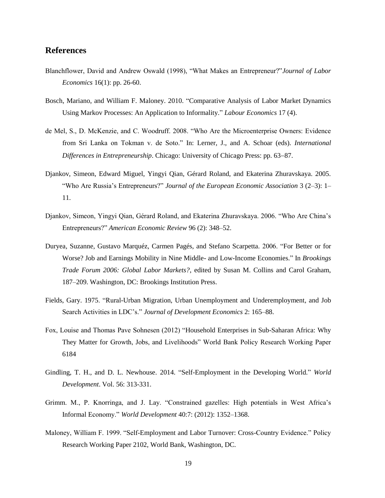## **References**

- Blanchflower, David and Andrew Oswald (1998), "What Makes an Entrepreneur?"*Journal of Labor Economics* 16(1): pp. 26-60.
- Bosch, Mariano, and William F. Maloney. 2010. "Comparative Analysis of Labor Market Dynamics Using Markov Processes: An Application to Informality." *Labour Economics* 17 (4).
- de Mel, S., D. McKenzie, and C. Woodruff. 2008. "Who Are the Microenterprise Owners: Evidence from Sri Lanka on Tokman v. de Soto." In: Lerner, J., and A. Schoar (eds). *International Differences in Entrepreneurship.* Chicago: University of Chicago Press: pp. 63–87.
- Djankov, Simeon, Edward Miguel, Yingyi Qian, Gérard Roland, and Ekaterina Zhuravskaya. 2005. "Who Are Russia's Entrepreneurs?" *Journal of the European Economic Association* 3 (2–3): 1– 11.
- Djankov, Simeon, Yingyi Qian, Gérard Roland, and Ekaterina Zhuravskaya. 2006. "Who Are China's Entrepreneurs?" *American Economic Review* 96 (2): 348–52.
- Duryea, Suzanne, Gustavo Marquéz, Carmen Pagés, and Stefano Scarpetta. 2006. "For Better or for Worse? Job and Earnings Mobility in Nine Middle- and Low-Income Economies." In *Brookings Trade Forum 2006: Global Labor Markets?*, edited by Susan M. Collins and Carol Graham, 187–209. Washington, DC: Brookings Institution Press.
- Fields, Gary. 1975. "Rural-Urban Migration, Urban Unemployment and Underemployment, and Job Search Activities in LDC's." *Journal of Development Economics* 2: 165–88.
- Fox, Louise and Thomas Pave Sohnesen (2012) "Household Enterprises in Sub-Saharan Africa: Why They Matter for Growth, Jobs, and Livelihoods" World Bank Policy Research Working Paper 6184
- Gindling, T. H., and D. L. Newhouse. 2014. "Self-Employment in the Developing World." *World Development*. Vol. 56: 313-331.
- Grimm. M., P. Knorringa, and J. Lay. "Constrained gazelles: High potentials in West Africa's Informal Economy." *World Development* 40:7: (2012): 1352–1368.
- Maloney, William F. 1999. "Self-Employment and Labor Turnover: Cross-Country Evidence." Policy Research Working Paper 2102, World Bank, Washington, DC.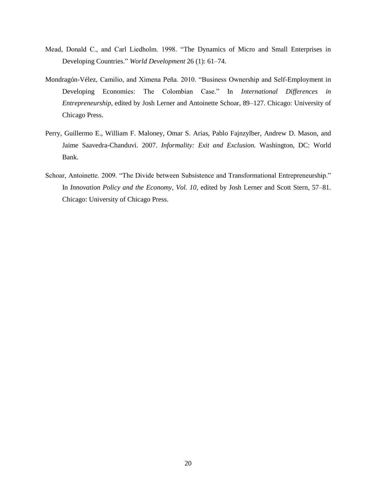- Mead, Donald C., and Carl Liedholm. 1998. "The Dynamics of Micro and Small Enterprises in Developing Countries." *World Development* 26 (1): 61–74.
- Mondragón-Vélez, Camilio, and Ximena Peña. 2010. "Business Ownership and Self-Employment in Developing Economies: The Colombian Case." In *International Differences in Entrepreneurship*, edited by Josh Lerner and Antoinette Schoar, 89–127. Chicago: University of Chicago Press.
- Perry, Guillermo E., William F. Maloney, Omar S. Arias, Pablo Fajnzylber, Andrew D. Mason, and Jaime Saavedra-Chanduvi. 2007. *Informality: Exit and Exclusion.* Washington, DC: World Bank.
- Schoar, Antoinette. 2009. "The Divide between Subsistence and Transformational Entrepreneurship." In *Innovation Policy and the Economy, Vol. 10*, edited by Josh Lerner and Scott Stern, 57–81. Chicago: University of Chicago Press.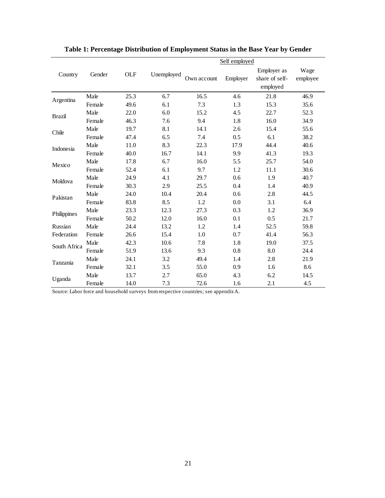|               |        |      | Self employed |             |          |                                           |                  |  |  |  |
|---------------|--------|------|---------------|-------------|----------|-------------------------------------------|------------------|--|--|--|
| Country       | Gender | OLF  | Unemployed    | Own account | Employer | Employer as<br>share of self-<br>employed | Wage<br>employee |  |  |  |
|               | Male   | 25.3 | 6.7           | 16.5        | 4.6      | 21.8                                      | 46.9             |  |  |  |
| Argentina     | Female | 49.6 | 6.1           | 7.3         | 1.3      | 15.3                                      | 35.6             |  |  |  |
| <b>Brazil</b> | Male   | 22.0 | 6.0           | 15.2        | 4.5      | 22.7                                      | 52.3             |  |  |  |
|               | Female | 46.3 | 7.6           | 9.4         | 1.8      | 16.0                                      | 34.9             |  |  |  |
| Chile         | Male   | 19.7 | 8.1           | 14.1        | 2.6      | 15.4                                      | 55.6             |  |  |  |
|               | Female | 47.4 | 6.5           | 7.4         | 0.5      | 6.1                                       | 38.2             |  |  |  |
| Indonesia     | Male   | 11.0 | 8.3           | 22.3        | 17.9     | 44.4                                      | 40.6             |  |  |  |
|               | Female | 40.0 | 16.7          | 14.1        | 9.9      | 41.3                                      | 19.3             |  |  |  |
| Mexico        | Male   | 17.8 | 6.7           | 16.0        | 5.5      | 25.7                                      | 54.0             |  |  |  |
|               | Female | 52.4 | 6.1           | 9.7         | 1.2      | 11.1                                      | 30.6             |  |  |  |
| Moldova       | Male   | 24.9 | 4.1           | 29.7        | 0.6      | 1.9                                       | 40.7             |  |  |  |
|               | Female | 30.3 | 2.9           | 25.5        | 0.4      | 1.4                                       | 40.9             |  |  |  |
| Pakistan      | Male   | 24.0 | 10.4          | 20.4        | 0.6      | 2.8                                       | 44.5             |  |  |  |
|               | Female | 83.8 | 8.5           | 1.2         | 0.0      | 3.1                                       | 6.4              |  |  |  |
| Philippines   | Male   | 23.3 | 12.3          | 27.3        | 0.3      | 1.2                                       | 36.9             |  |  |  |
|               | Female | 50.2 | 12.0          | 16.0        | 0.1      | 0.5                                       | 21.7             |  |  |  |
| Russian       | Male   | 24.4 | 13.2          | 1.2         | 1.4      | 52.5                                      | 59.8             |  |  |  |
| Federation    | Female | 26.6 | 15.4          | 1.0         | 0.7      | 41.4                                      | 56.3             |  |  |  |
| South Africa  | Male   | 42.3 | 10.6          | 7.8         | 1.8      | 19.0                                      | 37.5             |  |  |  |
|               | Female | 51.9 | 13.6          | 9.3         | 0.8      | 8.0                                       | 24.4             |  |  |  |
| Tanzania      | Male   | 24.1 | 3.2           | 49.4        | 1.4      | 2.8                                       | 21.9             |  |  |  |
|               | Female | 32.1 | 3.5           | 55.0        | 0.9      | 1.6                                       | 8.6              |  |  |  |
| Uganda        | Male   | 13.7 | 2.7           | 65.0        | 4.3      | 6.2                                       | 14.5             |  |  |  |
|               | Female | 14.0 | 7.3           | 72.6        | 1.6      | 2.1                                       | 4.5              |  |  |  |

**Table 1: Percentage Distribution of Employment Status in the Base Year by Gender**

Source: Labor force and household surveys from respective countries; see appendix A.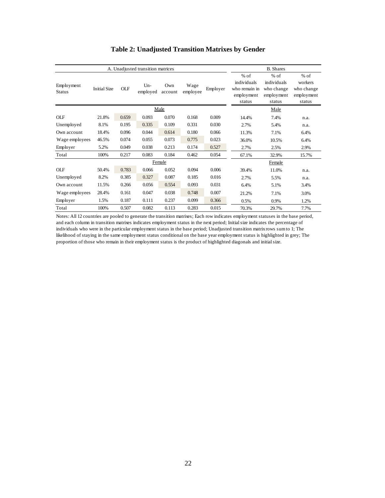|                             | A. Unadjusted transition matrices | <b>B.</b> Shares |                   |                |                  |          |                                                                |                                                             |                                                         |
|-----------------------------|-----------------------------------|------------------|-------------------|----------------|------------------|----------|----------------------------------------------------------------|-------------------------------------------------------------|---------------------------------------------------------|
| Employment<br><b>Status</b> | <b>Initial Size</b>               | <b>OLF</b>       | $Un-$<br>employed | Own<br>account | Wage<br>employee | Employer | $%$ of<br>individuals<br>who remain in<br>employment<br>status | $%$ of<br>individuals<br>who change<br>employment<br>status | $%$ of<br>workers<br>who change<br>employment<br>status |
|                             |                                   |                  | Male              |                |                  |          |                                                                |                                                             |                                                         |
| <b>OLF</b>                  | 21.8%                             | 0.659            | 0.093             | 0.070          | 0.168            | 0.009    | 14.4%                                                          | 7.4%                                                        | n.a.                                                    |
| Unemployed                  | 8.1%                              | 0.195            | 0.335             | 0.109          | 0.331            | 0.030    | 2.7%                                                           | 5.4%                                                        | n.a.                                                    |
| Own account                 | 18.4%                             | 0.096            | 0.044             | 0.614          | 0.180            | 0.066    | 11.3%                                                          | 7.1%                                                        | 6.4%                                                    |
| Wage employees              | 46.5%                             | 0.074            | 0.055             | 0.073          | 0.775            | 0.023    | 36.0%                                                          | 10.5%                                                       | 6.4%                                                    |
| Employer                    | 5.2%                              | 0.049            | 0.038             | 0.213          | 0.174            | 0.527    | 2.7%                                                           | 2.5%                                                        | 2.9%                                                    |
| Total                       | 100%                              | 0.217            | 0.083             | 0.184          | 0.462            | 0.054    | 67.1%                                                          | 32.9%                                                       | 15.7%                                                   |
|                             |                                   |                  |                   | Female         |                  |          |                                                                | Female                                                      |                                                         |
| <b>OLF</b>                  | 50.4%                             | 0.783            | 0.066             | 0.052          | 0.094            | 0.006    | 39.4%                                                          | 11.0%                                                       | n.a.                                                    |
| Unemployed                  | 8.2%                              | 0.385            | 0.327             | 0.087          | 0.185            | 0.016    | 2.7%                                                           | 5.5%                                                        | n.a.                                                    |
| Own account                 | 11.5%                             | 0.266            | 0.056             | 0.554          | 0.093            | 0.031    | 6.4%                                                           | 5.1%                                                        | 3.4%                                                    |
| Wage employees              | 28.4%                             | 0.161            | 0.047             | 0.038          | 0.748            | 0.007    | 21.2%                                                          | 7.1%                                                        | 3.0%                                                    |
| Employer                    | 1.5%                              | 0.187            | 0.111             | 0.237          | 0.099            | 0.366    | 0.5%                                                           | 0.9%                                                        | 1.2%                                                    |
| Total                       | 100%                              | 0.507            | 0.082             | 0.113          | 0.283            | 0.015    | 70.3%                                                          | 29.7%                                                       | 7.7%                                                    |

## **Table 2: Unadjusted Transition Matrixes by Gender**

Notes: All 12 countries are pooled to generate the transition matrixes; Each row indicates employment statuses in the base period, and each column in transition matrixes indicates employment status in the next period; Initial size indicates the percentage of individuals who were in the particular employment status in the base period; Unadjusted transition matrix rows sum to 1; The likelihood of staying in the same employment status conditional on the base year employment status is highlighted in grey; The proportion of those who remain in their employment status is the product of highlighted diagonals and initial size.

 $\bar{z}$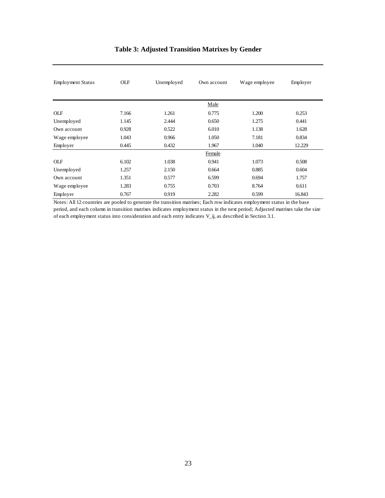| <b>Employment Status</b> | <b>OLF</b> | Unemployed | Own account   | Wage employee | Employer |
|--------------------------|------------|------------|---------------|---------------|----------|
|                          |            |            | Male          |               |          |
| <b>OLF</b>               | 7.166      | 1.261      | 0.775         | 1.200         | 0.253    |
| Unemployed               | 1.145      | 2.444      | 0.650         | 1.275         | 0.441    |
| Own account              | 0.928      | 0.522      | 6.010         | 1.138         | 1.628    |
| Wage employee            | 1.043      | 0.966      | 1.050         | 7.181         | 0.834    |
| Employer                 | 0.445      | 0.432      | 1.967         | 1.040         | 12.229   |
|                          |            |            | <b>Female</b> |               |          |
| <b>OLF</b>               | 6.102      | 1.038      | 0.941         | 1.073         | 0.508    |
| Unemployed               | 1.257      | 2.150      | 0.664         | 0.885         | 0.604    |
| Own account              | 1.351      | 0.577      | 6.599         | 0.694         | 1.757    |
| Wage employee            | 1.283      | 0.755      | 0.703         | 8.764         | 0.611    |
| Employer                 | 0.767      | 0.919      | 2.282         | 0.599         | 16.843   |

## **Table 3: Adjusted Transition Matrixes by Gender**

Notes: All 12 countries are pooled to generate the transition matrixes; Each row indicates employment status in the base period, and each column in transition matrixes indicates employment status in the next period; Adjusted matrixes take the size of each employment status into consideration and each entry indicates V\_ij, as described in Section 3.1.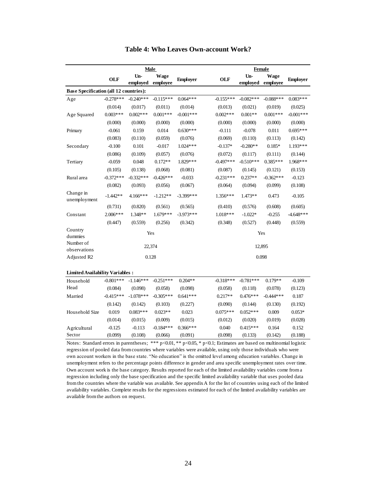|                                                                                                                             | <b>Male</b> |                 |                  |                 |                    | <b>Female</b>     |                  |                 |  |  |
|-----------------------------------------------------------------------------------------------------------------------------|-------------|-----------------|------------------|-----------------|--------------------|-------------------|------------------|-----------------|--|--|
|                                                                                                                             | <b>OLF</b>  | Un-<br>employed | Wage<br>employee | <b>Employer</b> | <b>OLF</b>         | $Un-$<br>employed | Wage<br>employee | <b>Employer</b> |  |  |
| <b>Base Specification (all 12 countries):</b>                                                                               |             |                 |                  |                 |                    |                   |                  |                 |  |  |
| Age                                                                                                                         | $-0.278***$ | $-0.240***$     | $-0.115***$      | $0.064***$      | $-0.155***$        | $-0.082***$       | $-0.088***$      | $0.083***$      |  |  |
|                                                                                                                             | (0.014)     | (0.017)         | (0.011)          | (0.014)         | (0.013)            | (0.021)           | (0.019)          | (0.025)         |  |  |
| Age Squared                                                                                                                 | $0.003***$  | $0.002***$      | $0.001***$       | $-0.001***$     | $0.002***$         | $0.001**$         | $0.001***$       | $-0.001***$     |  |  |
|                                                                                                                             | (0.000)     | (0.000)         | (0.000)          | (0.000)         | (0.000)            | (0.000)           | (0.000)          | (0.000)         |  |  |
| Primary                                                                                                                     | $-0.061$    | 0.159           | 0.014            | $0.630***$      | $-0.111$           | $-0.078$          | 0.011            | $0.695***$      |  |  |
|                                                                                                                             | (0.083)     | (0.110)         | (0.059)          | (0.076)         | (0.069)            | (0.110)           | (0.113)          | (0.142)         |  |  |
| Secondary                                                                                                                   | $-0.100$    | 0.101           | $-0.017$         | $1.024***$      | $-0.137*$          | $-0.280**$        | $0.185*$         | $1.193***$      |  |  |
|                                                                                                                             | (0.086)     | (0.109)         | (0.057)          | (0.076)         | (0.072)            | (0.117)           | (0.111)          | (0.144)         |  |  |
| Tertiary                                                                                                                    | $-0.059$    | 0.048           | $0.172**$        | 1.829***        | $-0.497***$        | $-0.510***$       | $0.385***$       | 1.968***        |  |  |
|                                                                                                                             | (0.105)     | (0.138)         | (0.068)          | (0.081)         | (0.087)            | (0.145)           | (0.121)          | (0.153)         |  |  |
| Rural area                                                                                                                  | $-0.372***$ | $-0.332***$     | $-0.426***$      | $-0.033$        | $-0.231***$        | $0.237**$         | $-0.362***$      | $-0.123$        |  |  |
|                                                                                                                             | (0.082)     | (0.093)         | (0.056)          | (0.067)         | (0.064)            | (0.094)           | (0.099)          | (0.108)         |  |  |
| Change in<br>unemployment                                                                                                   | $-1.442**$  | 4.166***        | $-1.212**$       | $-3.399***$     | $1.356***$         | $1.473**$         | 0.473            | $-0.105$        |  |  |
|                                                                                                                             | (0.731)     | (0.820)         | (0.561)          | (0.565)         | (0.410)            | (0.576)           | (0.608)          | (0.605)         |  |  |
| Constant                                                                                                                    | $2.006***$  | 1.348**         | $1.679***$       | $-3.973***$     | $1.018***$         | $-1.022*$         | $-0.255$         | $-4.648***$     |  |  |
|                                                                                                                             | (0.447)     | (0.559)         | (0.256)          | (0.342)         | (0.348)            | (0.527)           | (0.448)          | (0.559)         |  |  |
| Country<br>dummies                                                                                                          |             |                 | Yes              |                 |                    | Yes               |                  |                 |  |  |
| Number of<br>observations                                                                                                   |             |                 | 22,374           |                 |                    |                   | 12,895           |                 |  |  |
| Adjusted R2                                                                                                                 |             |                 | 0.128            |                 |                    |                   | 0.098            |                 |  |  |
| <b>Limited Availability Variables:</b>                                                                                      |             |                 |                  |                 |                    |                   |                  |                 |  |  |
| Household                                                                                                                   | $-0.801***$ | $-1.146***$     | $-0.251***$      | $0.204**$       | $-0.318***$        | $-0.781***$       | $0.179**$        | $-0.109$        |  |  |
| Head                                                                                                                        | (0.084)     | (0.098)         | (0.058)          | (0.098)         | (0.058)            | (0.118)           | (0.078)          | (0.123)         |  |  |
| Married                                                                                                                     | $-0.415***$ | $-1.078***$     | $-0.305***$      | $0.641***$      | $0.217**$          | $0.476***$        | $-0.444***$      | 0.187           |  |  |
|                                                                                                                             | (0.142)     | (0.142)         | (0.103)          | (0.227)         | (0.090)            | (0.144)           | (0.130)          | (0.192)         |  |  |
| Household Size                                                                                                              | 0.019       | $0.083***$      | $0.023**$        | 0.023           | $0.075***$         | $0.052***$        | 0.009            | $0.053*$        |  |  |
|                                                                                                                             | (0.014)     | (0.015)         | (0.009)          | (0.015)         | (0.012)            | (0.020)           | (0.019)          | (0.028)         |  |  |
| Agricultural                                                                                                                | $-0.125$    | $-0.113$        | $-0.184***$      | $0.366***$      | 0.040              | $0.415***$        | 0.164            | 0.152           |  |  |
| Sector                                                                                                                      | (0.099)     | (0.108)         | (0.066)          | (0.091)         | (0.098)            | (0.133)           | (0.142)          | (0.188)         |  |  |
| Notes: Standard errors in parentheses; *** $p<0.01$ , ** $p<0.05$ , * $p<0.1$ ; Estimates are based on multinomial logistic |             |                 |                  |                 | $\sim$ $\sim$<br>. | $\sim$ $\sim$     |                  |                 |  |  |

|  | Table 4: Who Leaves Own-account Work? |
|--|---------------------------------------|
|--|---------------------------------------|

regression of pooled data from countries where variables were available, using only those individuals who were own account workers in the base state. "No education" is the omitted level among education variables. Change in unemployment refers to the percentage points difference in gender and area specific unemployment rates over time. Own account work is the base category. Results reported for each of the limited availability variables come from a regression including only the base specification and the specific limited availability variable that uses pooled data from the countries where the variable was available. See appendix A for the list of countries using each of the limited availability variables. Complete results for the regressions estimated for each of the limited availability variables are available from the authors on request.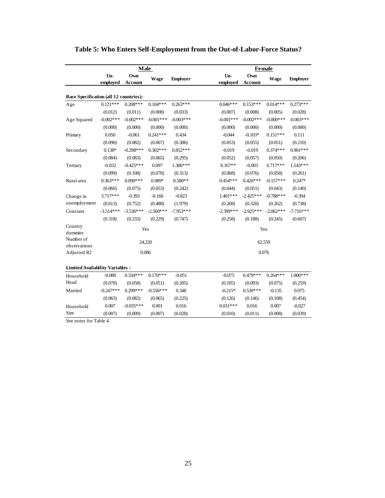|                                               |                 | <b>Male</b>           |             |                 | <b>Female</b>   |                       |              |                 |  |
|-----------------------------------------------|-----------------|-----------------------|-------------|-----------------|-----------------|-----------------------|--------------|-----------------|--|
|                                               | Un-<br>employed | Own<br><b>Account</b> | Wage        | <b>Employer</b> | Un-<br>employed | Own<br><b>Account</b> | Wage         | <b>Employer</b> |  |
| <b>Base Specification (all 12 countries):</b> |                 |                       |             |                 |                 |                       |              |                 |  |
| Age                                           | $0.121***$      | $0.208***$            | $0.104***$  | $0.263***$      | $0.046***$      | $0.153***$            | $0.014***$   | $0.273***$      |  |
|                                               | (0.012)         | (0.011)               | (0.008)     | (0.033)         | (0.007)         | (0.008)               | (0.005)      | (0.028)         |  |
| Age Squared                                   | $-0.002$ ***    | $-0.002***$           | $-0.001***$ | $-0.003***$     | $-0.001***$     | $-0.002$ ***          | $-0.000$ *** | $-0.003***$     |  |
|                                               | (0.000)         | (0.000)               | (0.000)     | (0.000)         | (0.000)         | (0.000)               | (0.000)      | (0.000)         |  |
| Primary                                       | 0.050           | $-0.061$              | $0.241***$  | 0.434           | $-0.044$        | $-0.103*$             | $0.151***$   | 0.111           |  |
|                                               | (0.090)         | (0.082)               | (0.067)     | (0.306)         | (0.053)         | (0.055)               | (0.051)      | (0.210)         |  |
| Secondary                                     | $0.138*$        | $-0.298***$           | $0.302***$  | $0.852***$      | $-0.019$        | $-0.019$              | $0.374***$   | $0.901***$      |  |
|                                               | (0.084)         | (0.083)               | (0.065)     | (0.295)         | (0.052)         | (0.057)               | (0.050)      | (0.206)         |  |
| Tertiary                                      | $-0.032$        | $-0.425***$           | 0.097       | $1.386***$      | $0.167**$       | $-0.003$              | $0.717***$   | $1.143***$      |  |
|                                               | (0.099)         | (0.108)               | (0.078)     | (0.313)         | (0.068)         | (0.076)               | (0.058)      | (0.261)         |  |
| Rural area                                    | $0.363***$      | $0.890***$            | $0.089*$    | $0.580**$       | $0.454***$      | $0.426***$            | $-0.157***$  | $0.247*$        |  |
|                                               | (0.060)         | (0.075)               | (0.053)     | (0.242)         | (0.044)         | (0.051)               | (0.043)      | (0.140)         |  |
| Change in                                     | $3.717***$      | $-0.393$              | $-0.166$    | $-0.823$        | $1.401***$      | $-2.425***$           | $-0.788***$  | $-0.394$        |  |
| unemployment                                  | (0.613)         | (0.752)               | (0.488)     | (1.979)         | (0.268)         | (0.320)               | (0.262)      | (0.738)         |  |
| Constant                                      | $-3.514***$     | $-3.536***$           | $-2.560***$ | $-7.953***$     | $-2.399***$     | $-2.925***$           | $-2.062***$  | $-7.716***$     |  |
|                                               | (0.318)         | (0.233)               | (0.229)     | (0.747)         | (0.258)         | (0.188)               | (0.245)      | (0.607)         |  |
| Country<br>dummies                            |                 |                       | Yes         |                 |                 |                       | Yes          |                 |  |
| Number of<br>observations                     |                 |                       | 24,220      |                 |                 |                       | 62,559       |                 |  |
| Adjusted R2                                   |                 |                       | 0.086       |                 |                 |                       | 0.076        |                 |  |
| <b>Limited Availability Variables:</b>        |                 |                       |             |                 |                 |                       |              |                 |  |
| Household                                     | $-0.080$        | $0.334***$            | $0.170***$  | $-0.051$        | $-0.075$        | $0.479***$            | $0.264***$   | $1.006***$      |  |
| Head                                          | (0.070)         | (0.058)               | (0.051)     | (0.205)         | (0.105)         | (0.093)               | (0.075)      | (0.259)         |  |
| Married                                       | $-0.247***$     | $0.299***$            | $-0.556***$ | 0.348           | $-0.215*$       | $0.530***$            | $-0.135$     | 0.075           |  |
|                                               | (0.063)         | (0.082)               | (0.065)     | (0.225)         | (0.126)         | (0.146)               | (0.108)      | (0.454)         |  |
| Household                                     | 0.007           | $-0.035***$           | 0.001       | 0.016           | $0.031***$      | 0.016                 | 0.007        | $-0.027$        |  |
| <b>Size</b>                                   | (0.007)         | (0.009)               | (0.007)     | (0.028)         | (0.010)         | (0.011)               | (0.008)      | (0.039)         |  |

## **Table 5: Who Enters Self-Employment from the Out-of-Labor-Force Status?**

See notes for Table 4.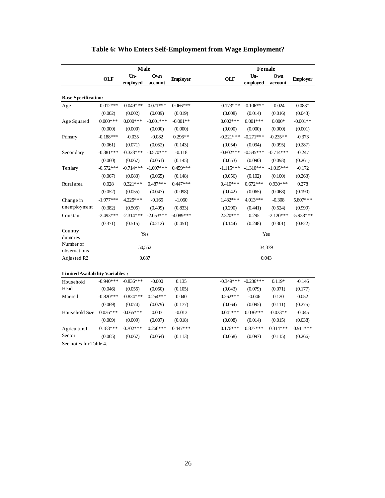|                                        |             | <b>Male</b>       |                |                 |             | Female          |                |                 |  |  |
|----------------------------------------|-------------|-------------------|----------------|-----------------|-------------|-----------------|----------------|-----------------|--|--|
|                                        | <b>OLF</b>  | $Un-$<br>employed | Own<br>account | <b>Employer</b> | <b>OLF</b>  | Un-<br>employed | Own<br>account | <b>Employer</b> |  |  |
| <b>Base Specification:</b>             |             |                   |                |                 |             |                 |                |                 |  |  |
| Age                                    | $-0.012***$ | $-0.049***$       | $0.071***$     | $0.066***$      | $-0.173***$ | $-0.106***$     | $-0.024$       | $0.083*$        |  |  |
|                                        | (0.002)     | (0.002)           | (0.009)        | (0.019)         | (0.008)     | (0.014)         | (0.016)        | (0.043)         |  |  |
| Age Squared                            | $0.000***$  | $0.000***$        | $-0.001***$    | $-0.001**$      | $0.002***$  | $0.001***$      | $0.000*$       | $-0.001**$      |  |  |
|                                        | (0.000)     | (0.000)           | (0.000)        | (0.000)         | (0.000)     | (0.000)         | (0.000)        | (0.001)         |  |  |
| Primary                                | $-0.188***$ | $-0.035$          | $-0.082$       | $0.296**$       | $-0.221***$ | $-0.271***$     | $-0.235**$     | $-0.373$        |  |  |
|                                        | (0.061)     | (0.071)           | (0.052)        | (0.143)         | (0.054)     | (0.094)         | (0.095)        | (0.287)         |  |  |
| Secondary                              | $-0.381***$ | $-0.328***$       | $-0.570***$    | $-0.118$        | $-0.802***$ | $-0.585***$     | $-0.714***$    | $-0.247$        |  |  |
|                                        | (0.060)     | (0.067)           | (0.051)        | (0.145)         | (0.053)     | (0.090)         | (0.093)        | (0.261)         |  |  |
| Tertiary                               | $-0.572***$ | $-0.714***$       | $-1.007***$    | $0.459***$      | $-1.115***$ | $-1.310***$     | $-1.015***$    | $-0.172$        |  |  |
|                                        | (0.067)     | (0.083)           | (0.065)        | (0.148)         | (0.056)     | (0.102)         | (0.100)        | (0.263)         |  |  |
| Rural area                             | 0.028       | $0.321***$        | $0.487***$     | $0.447***$      | $0.410***$  | $0.672***$      | $0.930***$     | 0.278           |  |  |
|                                        | (0.052)     | (0.055)           | (0.047)        | (0.098)         | (0.042)     | (0.065)         | (0.068)        | (0.190)         |  |  |
| Change in                              | $-1.977***$ | 4.225***          | $-0.165$       | $-1.060$        | 1.432***    | 4.013***        | $-0.308$       | 5.807***        |  |  |
| unemployment                           | (0.382)     | (0.505)           | (0.499)        | (0.833)         | (0.290)     | (0.441)         | (0.524)        | (0.999)         |  |  |
| Constant                               | $-2.493***$ | $-2.314***$       | $-2.053***$    | $-4.089***$     | $2.320***$  | 0.295           | $-2.120***$    | $-5.938***$     |  |  |
|                                        | (0.371)     | (0.515)           | (0.212)        | (0.451)         | (0.144)     | (0.248)         | (0.301)        | (0.822)         |  |  |
| Country<br>dummies                     |             |                   | Yes            |                 |             | Yes             |                |                 |  |  |
| Number of<br>observations              |             |                   | 50,552         |                 |             | 34,379          |                |                 |  |  |
| Adjusted R2                            |             |                   | 0.087          |                 |             | 0.043           |                |                 |  |  |
| <b>Limited Availability Variables:</b> |             |                   |                |                 |             |                 |                |                 |  |  |
| Household                              | $-0.940***$ | $-0.836***$       | $-0.000$       | 0.135           | $-0.349***$ | $-0.236***$     | $0.119*$       | $-0.146$        |  |  |
| Head                                   | (0.046)     | (0.055)           | (0.050)        | (0.105)         | (0.043)     | (0.079)         | (0.071)        | (0.177)         |  |  |
| Married                                | $-0.820***$ | $-0.824***$       | $0.254***$     | 0.040           | $0.262***$  | $-0.046$        | 0.120          | 0.052           |  |  |
|                                        | (0.069)     | (0.074)           | (0.079)        | (0.177)         | (0.064)     | (0.095)         | (0.111)        | (0.275)         |  |  |
| Household Size                         | $0.036***$  | $0.065***$        | 0.003          | $-0.013$        | $0.041***$  | $0.036***$      | $-0.033**$     | $-0.045$        |  |  |
|                                        | (0.009)     | (0.009)           | (0.007)        | (0.018)         | (0.008)     | (0.014)         | (0.015)        | (0.038)         |  |  |
| Agricultural                           | $0.183***$  | $0.302***$        | $0.266***$     | $0.447***$      | $0.176***$  | $0.877***$      | $0.314***$     | $0.911***$      |  |  |
| Sector                                 | (0.065)     | (0.067)           | (0.054)        | (0.113)         | (0.068)     | (0.097)         | (0.115)        | (0.266)         |  |  |

## **Table 6: Who Enters Self-Employment from Wage Employment?**

See notes for Table 4.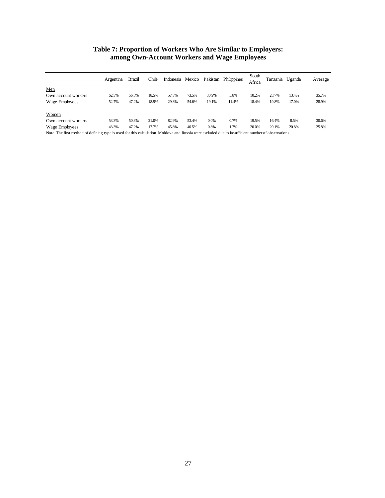#### **Table 7: Proportion of Workers Who Are Similar to Employers: among Own-Account Workers and Wage Employees**

| Argentina | Brazil | Chile |       |       |         | Philippines      | South<br>Africa |       |       | Average         |
|-----------|--------|-------|-------|-------|---------|------------------|-----------------|-------|-------|-----------------|
|           |        |       |       |       |         |                  |                 |       |       |                 |
| 62.3%     | 56.8%  | 18.5% | 57.3% | 73.5% | 30.9%   | 5.8%             | 10.2%           | 28.7% | 13.4% | 35.7%           |
| 52.7%     | 47.2%  | 18.9% | 29.8% | 54.6% | 19.1%   | 11.4%            | 18.4%           | 19.8% | 17.0% | 28.9%           |
|           |        |       |       |       |         |                  |                 |       |       |                 |
| 53.3%     | 50.3%  | 21.0% | 82.9% | 53.4% | $0.0\%$ | 0.7%             | 19.5%           | 16.4% | 8.5%  | 30.6%           |
| 43.3%     | 47.2%  | 17.7% | 45.8% | 40.5% | 0.8%    | 1.7%             | 20.0%           | 20.1% | 20.8% | 25.8%           |
|           |        |       |       |       |         | Indonesia Mexico | Pakistan        |       |       | Tanzania Uganda |

Note: The first method of defining type is used for this calculation. Moldova and Russia were excluded due to insufficient number of observations.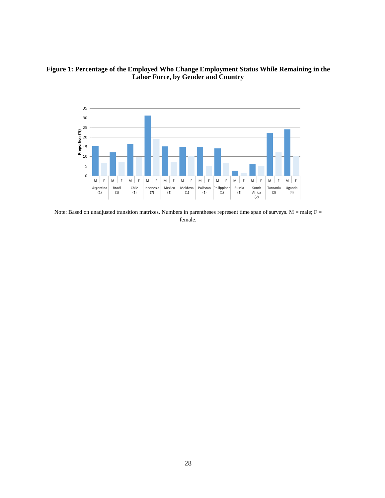## **Figure 1: Percentage of the Employed Who Change Employment Status While Remaining in the Labor Force, by Gender and Country**



Note: Based on unadjusted transition matrixes. Numbers in parentheses represent time span of surveys.  $M = male$ ;  $F =$ female.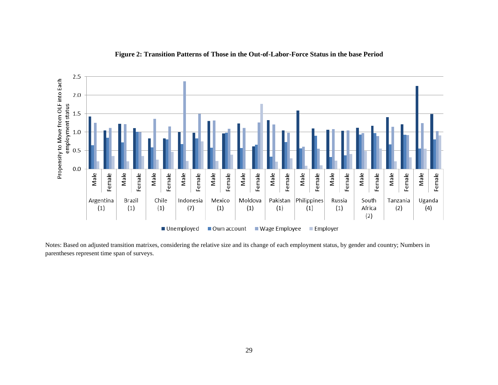

#### **Figure 2: Transition Patterns of Those in the Out-of-Labor-Force Status in the base Period**

Notes: Based on adjusted transition matrixes, considering the relative size and its change of each employment status, by gender and country; Numbers in parentheses represent time span of surveys.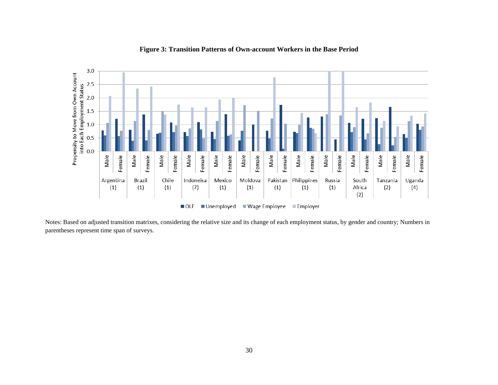

#### **Figure 3: Transition Patterns of Own-account Workers in the Base Period**

Notes: Based on adjusted transition matrixes, considering the relative size and its change of each employment status, by gender and country; Numbers in parentheses represent time span of surveys.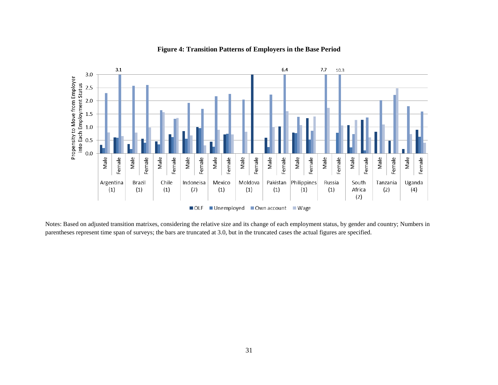

#### **Figure 4: Transition Patterns of Employers in the Base Period**

Notes: Based on adjusted transition matrixes, considering the relative size and its change of each employment status, by gender and country; Numbers in parentheses represent time span of surveys; the bars are truncated at 3.0, but in the truncated cases the actual figures are specified.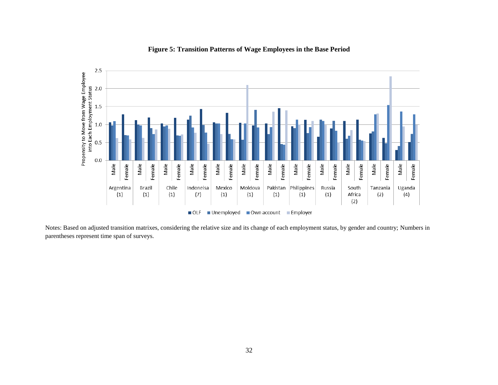

#### **Figure 5: Transition Patterns of Wage Employees in the Base Period**

Notes: Based on adjusted transition matrixes, considering the relative size and its change of each employment status, by gender and country; Numbers in parentheses represent time span of surveys.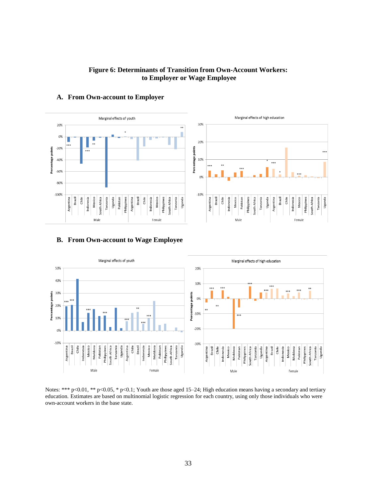#### **Figure 6: Determinants of Transition from Own-Account Workers: to Employer or Wage Employee**



#### **A. From Own-account to Employer**

#### **B. From Own-account to Wage Employee**



Notes: \*\*\* p<0.01, \*\* p<0.05, \* p<0.1; Youth are those aged 15–24; High education means having a secondary and tertiary education. Estimates are based on multinomial logistic regression for each country, using only those individuals who were own-account workers in the base state.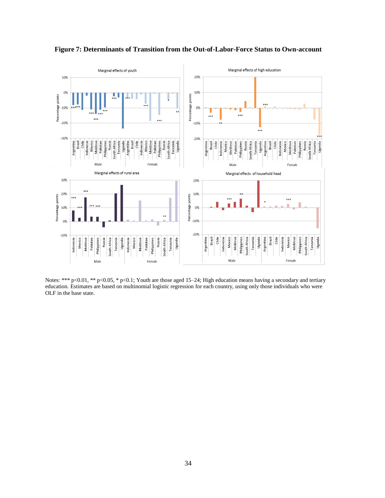

**Figure 7: Determinants of Transition from the Out-of-Labor-Force Status to Own-account**

Notes: \*\*\* p<0.01, \*\* p<0.05, \* p<0.1; Youth are those aged 15–24; High education means having a secondary and tertiary education. Estimates are based on multinomial logistic regression for each country, using only those individuals who were OLF in the base state.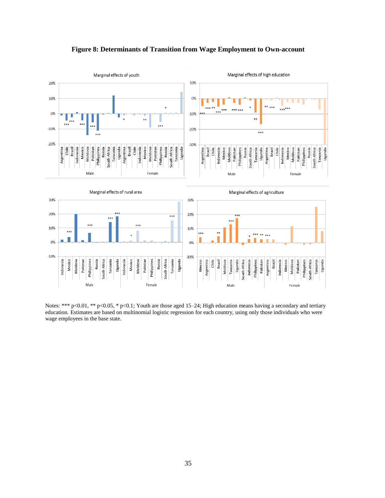

**Figure 8: Determinants of Transition from Wage Employment to Own-account**

Notes: \*\*\* p<0.01, \*\* p<0.05, \* p<0.1; Youth are those aged 15–24; High education means having a secondary and tertiary education. Estimates are based on multinomial logistic regression for each country, using only those individuals who were wage employees in the base state.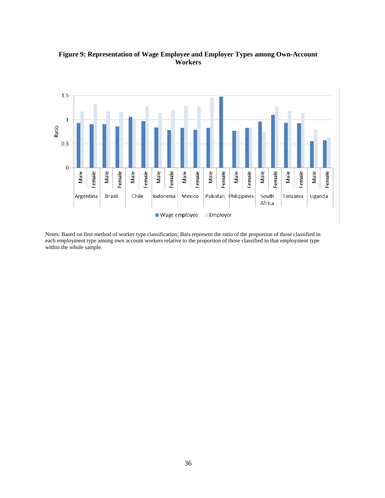

## **Figure 9: Representation of Wage Employee and Employer Types among Own-Account Workers**

Notes: Based on first method of worker type classification; Bars represent the ratio of the proportion of those classified in each employment type among own account workers relative to the proportion of those classified in that employment type within the whole sample.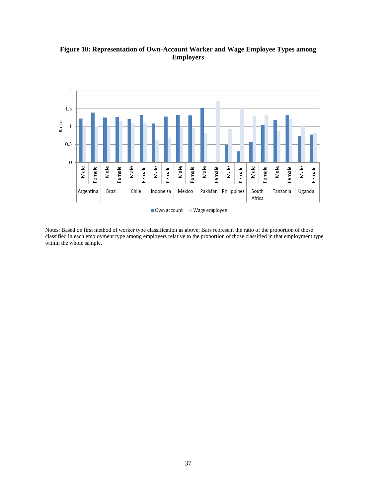

**Figure 10: Representation of Own-Account Worker and Wage Employee Types among Employers**

Notes: Based on first method of worker type classification as above; Bars represent the ratio of the proportion of those classified in each employment type among employers relative to the proportion of those classified in that employment type within the whole sample.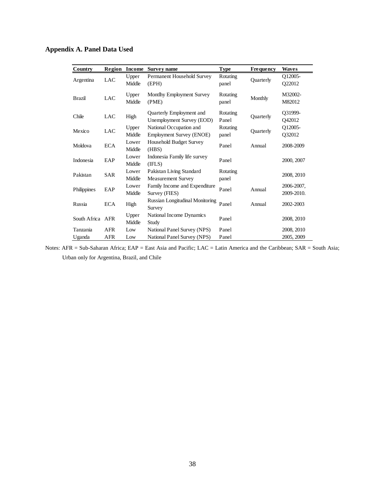**Appendix A. Panel Data Used**

| Country          | Region     | <b>Income</b>   | Survey name                                                | <b>Type</b>              | Frequency | <b>Waves</b>             |
|------------------|------------|-----------------|------------------------------------------------------------|--------------------------|-----------|--------------------------|
| Argentina        | <b>LAC</b> | Upper<br>Middle | Permanent Household Survey<br>(EPH)                        | Rotating<br>panel        | Quarterly | Q12005-<br>Q22012        |
| <b>Brazil</b>    | LAC        | Upper<br>Middle | Montlhy Employment Survey<br>(PME)                         | <b>Rotating</b><br>panel | Monthly   | M32002-<br>M82012        |
| Chile            | <b>LAC</b> | High            | Quarterly Employment and<br>Unemployment Survey (EOD)      | Rotating<br>Panel        | Quarterly | Q31999-<br>O42012        |
| Mexico           | LAC        | Upper<br>Middle | National Occupation and<br><b>Employment Survey (ENOE)</b> | Rotating<br>panel        | Quarterly | Q12005-<br>Q32012        |
| Moldova          | <b>ECA</b> | Lower<br>Middle | Household Budget Survey<br>(HBS)                           | Panel                    | Annual    | 2008-2009                |
| Indonesia        | EAP        | Lower<br>Middle | Indonesia Family life survey<br>(IFLS)                     | Panel                    |           | 2000, 2007               |
| Pakistan         | SAR        | Lower<br>Middle | Pakistan Living Standard<br><b>Measurement Survey</b>      | Rotating<br>panel        |           | 2008, 2010               |
| Philippines      | EAP        | Lower<br>Middle | Family Income and Expenditure<br>Survey (FIES)             | Panel                    | Annual    | 2006-2007,<br>2009-2010. |
| Russia           | <b>ECA</b> | High            | Russian Longitudinal Monitoring<br>Survey                  | Panel                    | Annual    | 2002-2003                |
| South Africa AFR |            | Upper<br>Middle | National Income Dynamics<br>Study                          | Panel                    |           | 2008, 2010               |
| Tanzania         | <b>AFR</b> | Low             | National Panel Survey (NPS)                                | Panel                    |           | 2008, 2010               |
| Uganda           | AFR        | Low             | National Panel Survey (NPS)                                | Panel                    |           | 2005, 2009               |

Notes: AFR = Sub-Saharan Africa; EAP = East Asia and Pacific; LAC = Latin America and the Caribbean; SAR = South Asia; Urban only for Argentina, Brazil, and Chile